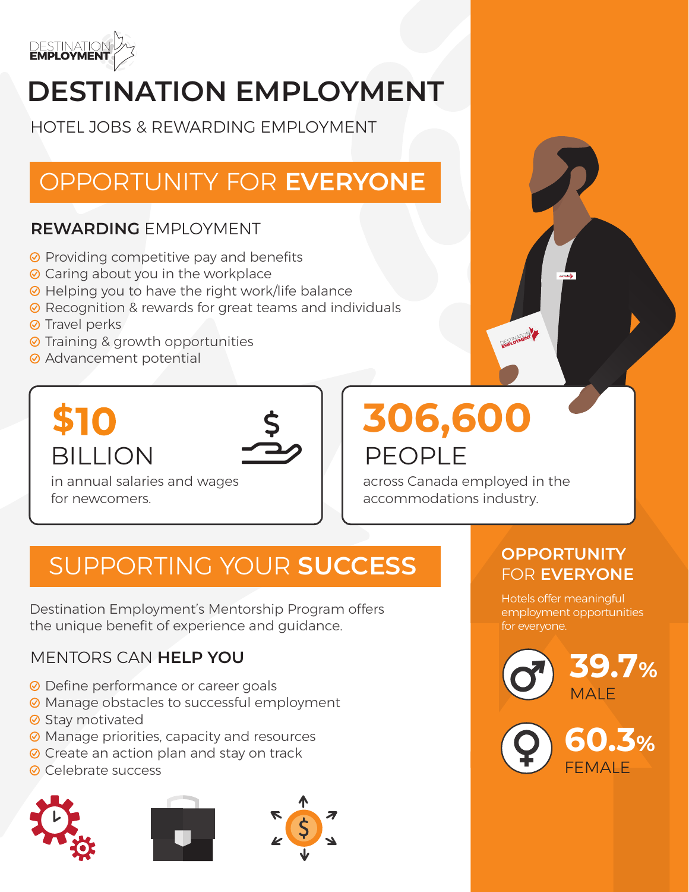

# **DESTINATION EMPLOYMENT**

HOTEL JOBS & REWARDING EMPLOYMENT

## OPPORTUNITY FOR **EVERYONE**

#### **REWARDING** EMPLOYMENT

- **⊘** Providing competitive pay and benefits
- **⊘** Caring about you in the workplace
- **⊘** Helping you to have the right work/life balance
- **⊘** Recognition & rewards for great teams and individuals
- **⊘** Travel perks
- **⊘** Training & growth opportunities
- **⊘** Advancement potential

# **BILLION**

in annual salaries and wages for newcomers.

# PFOPI<sub>F</sub> **306,600**

across Canada employed in the accommodations industry.

## SUPPORTING YOUR **SUCCESS**

Destination Employment's Mentorship Program offers the unique benefit of experience and guidance.

#### MENTORS CAN **HELP YOU**

- **⊘** Define performance or career goals
- **⊘** Manage obstacles to successful employment
- **⊘** Stay motivated
- **⊘** Manage priorities, capacity and resources
- **⊘** Create an action plan and stay on track
- **⊘** Celebrate success







#### **OPPORTUNITY**  FOR **EVERYONE**

Hotels offer meaningful employment opportunities for everyone.







FEMALE **60.3%**